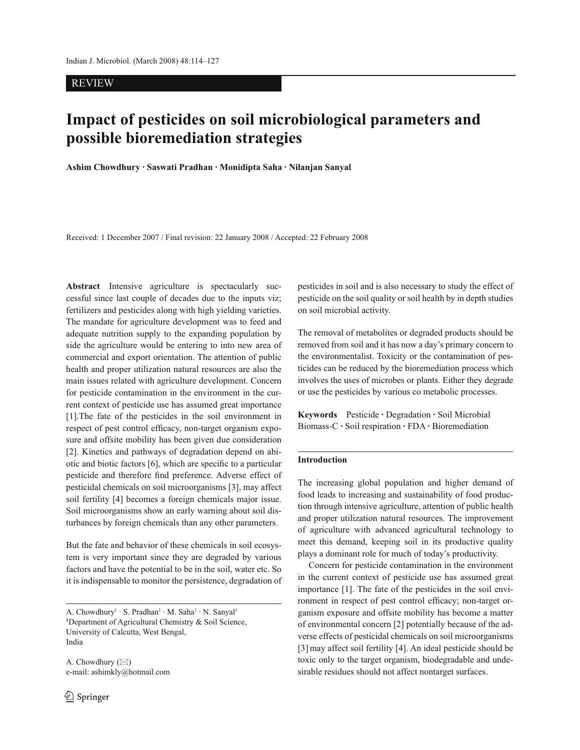# REVIEW

# **Impact of pesticides on soil microbiological parameters and possible bioremediation strategies**

**Ashim Chowdhury · Saswati Pradhan · Monidipta Saha · Nilanjan Sanyal**

Received: 1 December 2007 / Final revision: 22 January 2008 / Accepted: 22 February 2008

**Abstract** Intensive agriculture is spectacularly successful since last couple of decades due to the inputs viz; fertilizers and pesticides along with high yielding varieties. The mandate for agriculture development was to feed and adequate nutrition supply to the expanding population by side the agriculture would be entering to into new area of commercial and export orientation. The attention of public health and proper utilization natural resources are also the main issues related with agriculture development. Concern for pesticide contamination in the environment in the current context of pesticide use has assumed great importance [1].The fate of the pesticides in the soil environment in respect of pest control efficacy, non-target organism exposure and offsite mobility has been given due consideration [2]. Kinetics and pathways of degradation depend on abiotic and biotic factors [6], which are specific to a particular pesticide and therefore find preference. Adverse effect of pesticidal chemicals on soil microorganisms [3], may affect soil fertility [4] becomes a foreign chemicals major issue. Soil microorganisms show an early warning about soil disturbances by foreign chemicals than any other parameters.

But the fate and behavior of these chemicals in soil ecosystem is very important since they are degraded by various factors and have the potential to be in the soil, water etc. So it is indispensable to monitor the persistence, degradation of

A. Chowdhury  $(\boxtimes)$ e-mail: ashimkly@hotmail.com pesticides in soil and is also necessary to study the effect of pesticide on the soil quality or soil health by in depth studies on soil microbial activity.

The removal of metabolites or degraded products should be removed from soil and it has now a day's primary concern to the environmentalist. Toxicity or the contamination of pesticides can be reduced by the bioremediation process which involves the uses of microbes or plants. Either they degrade or use the pesticides by various co metabolic processes.

**Keywords** Pesticide **·** Degradation **·** Soil Microbial Biomass-C **·** Soil respiration **·** FDA **·** Bioremediation

## **Introduction**

The increasing global population and higher demand of food leads to increasing and sustainability of food production through intensive agriculture, attention of public health and proper utilization natural resources. The improvement of agriculture with advanced agricultural technology to meet this demand, keeping soil in its productive quality plays a dominant role for much of today's productivity.

Concern for pesticide contamination in the environment in the current context of pesticide use has assumed great importance [1]. The fate of the pesticides in the soil environment in respect of pest control efficacy; non-target organism exposure and offsite mobility has become a matter of environmental concern [2] potentially because of the adverse effects of pesticidal chemicals on soil microorganisms [3]may affect soil fertility [4]. An ideal pesticide should be toxic only to the target organism, biodegradable and undesirable residues should not affect nontarget surfaces.

A. Chowdhury<sup>1</sup> · S. Pradhan<sup>1</sup> · M. Saha<sup>1</sup> · N. Sanyal<sup>1</sup> **1** Department of Agricultural Chemistry & Soil Science, University of Calcutta, West Bengal, India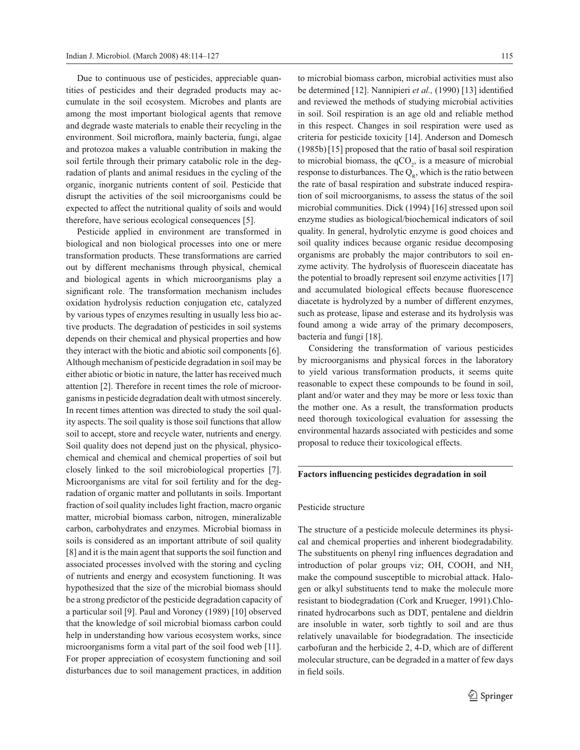Due to continuous use of pesticides, appreciable quantities of pesticides and their degraded products may accumulate in the soil ecosystem. Microbes and plants are among the most important biological agents that remove and degrade waste materials to enable their recycling in the environment. Soil microflora, mainly bacteria, fungi, algae and protozoa makes a valuable contribution in making the soil fertile through their primary catabolic role in the degradation of plants and animal residues in the cycling of the organic, inorganic nutrients content of soil. Pesticide that disrupt the activities of the soil microorganisms could be expected to affect the nutritional quality of soils and would therefore, have serious ecological consequences [5].

Pesticide applied in environment are transformed in biological and non biological processes into one or mere transformation products. These transformations are carried out by different mechanisms through physical, chemical and biological agents in which microorganisms play a significant role. The transformation mechanism includes oxidation hydrolysis reduction conjugation etc, catalyzed by various types of enzymes resulting in usually less bio active products. The degradation of pesticides in soil systems depends on their chemical and physical properties and how they interact with the biotic and abiotic soil components [6]. Although mechanism of pesticide degradation in soil may be either abiotic or biotic in nature, the latter has received much attention [2]. Therefore in recent times the role of microorganisms in pesticide degradation dealt with utmost sincerely. In recent times attention was directed to study the soil quality aspects. The soil quality is those soil functions that allow soil to accept, store and recycle water, nutrients and energy. Soil quality does not depend just on the physical, physicochemical and chemical and chemical properties of soil but closely linked to the soil microbiological properties [7]. Microorganisms are vital for soil fertility and for the degradation of organic matter and pollutants in soils. Important fraction of soil quality includes light fraction, macro organic matter, microbial biomass carbon, nitrogen, mineralizable carbon, carbohydrates and enzymes. Microbial biomass in soils is considered as an important attribute of soil quality [8] and it is the main agent that supports the soil function and associated processes involved with the storing and cycling of nutrients and energy and ecosystem functioning. It was hypothesized that the size of the microbial biomass should be a strong predictor of the pesticide degradation capacity of a particular soil [9]. Paul and Voroney (1989) [10] observed that the knowledge of soil microbial biomass carbon could help in understanding how various ecosystem works, since microorganisms form a vital part of the soil food web [11]. For proper appreciation of ecosystem functioning and soil disturbances due to soil management practices, in addition

to microbial biomass carbon, microbial activities must also be determined [12]. Nannipieri et al., (1990) [13] identified and reviewed the methods of studying microbial activities in soil. Soil respiration is an age old and reliable method in this respect. Changes in soil respiration were used as criteria for pesticide toxicity [14]. Anderson and Domesch (1985b)[15] proposed that the ratio of basal soil respiration to microbial biomass, the  $qCO<sub>2</sub>$ , is a measure of microbial response to disturbances. The  $Q_{\text{R}}$ , which is the ratio between the rate of basal respiration and substrate induced respiration of soil microorganisms, to assess the status of the soil microbial communities. Dick (1994) [16] stressed upon soil enzyme studies as biological/biochemical indicators of soil quality. In general, hydrolytic enzyme is good choices and soil quality indices because organic residue decomposing organisms are probably the major contributors to soil enzyme activity. The hydrolysis of fluorescein diaceatate has the potential to broadly represent soil enzyme activities [17] and accumulated biological effects because fluorescence diacetate is hydrolyzed by a number of different enzymes, such as protease, lipase and esterase and its hydrolysis was found among a wide array of the primary decomposers, bacteria and fungi [18].

Considering the transformation of various pesticides by microorganisms and physical forces in the laboratory to yield various transformation products, it seems quite reasonable to expect these compounds to be found in soil, plant and/or water and they may be more or less toxic than the mother one. As a result, the transformation products need thorough toxicological evaluation for assessing the environmental hazards associated with pesticides and some proposal to reduce their toxicological effects.

## Factors influencing pesticides degradation in soil

#### Pesticide structure

The structure of a pesticide molecule determines its physical and chemical properties and inherent biodegradability. The substituents on phenyl ring influences degradation and introduction of polar groups viz; OH, COOH, and NH<sub>2</sub> make the compound susceptible to microbial attack. Halogen or alkyl substituents tend to make the molecule more resistant to biodegradation (Cork and Krueger, 1991).Chlorinated hydrocarbons such as DDT, pentalene and dieldrin are insoluble in water, sorb tightly to soil and are thus relatively unavailable for biodegradation. The insecticide carbofuran and the herbicide 2, 4-D, which are of different molecular structure, can be degraded in a matter of few days in field soils.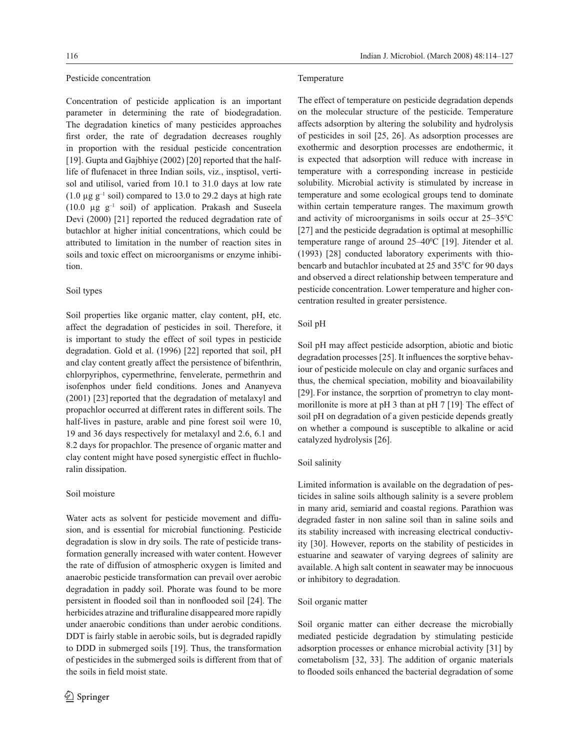# Pesticide concentration

Concentration of pesticide application is an important parameter in determining the rate of biodegradation. The degradation kinetics of many pesticides approaches first order, the rate of degradation decreases roughly in proportion with the residual pesticide concentration [19]. Gupta and Gajbhiye (2002) [20] reported that the halflife of flufenacet in three Indian soils, viz., insptisol, vertisol and utilisol, varied from 10.1 to 31.0 days at low rate (1.0  $\mu$ g g<sup>-1</sup> soil) compared to 13.0 to 29.2 days at high rate (10.0  $\mu$ g g<sup>-1</sup> soil) of application. Prakash and Suseela Devi (2000) [21] reported the reduced degradation rate of butachlor at higher initial concentrations, which could be attributed to limitation in the number of reaction sites in soils and toxic effect on microorganisms or enzyme inhibition.

## Soil types

Soil properties like organic matter, clay content, pH, etc. affect the degradation of pesticides in soil. Therefore, it is important to study the effect of soil types in pesticide degradation. Gold et al. (1996) [22] reported that soil, pH and clay content greatly affect the persistence of bifenthrin, chlorpyriphos, cypermethrine, fenvelerate, permethrin and isofenphos under field conditions. Jones and Ananyeva (2001) [23] reported that the degradation of metalaxyl and propachlor occurred at different rates in different soils. The half-lives in pasture, arable and pine forest soil were 10, 19 and 36 days respectively for metalaxyl and 2.6, 6.1 and 8.2 days for propachlor. The presence of organic matter and clay content might have posed synergistic effect in fluchloralin dissipation.

## Soil moisture

Water acts as solvent for pesticide movement and diffusion, and is essential for microbial functioning. Pesticide degradation is slow in dry soils. The rate of pesticide transformation generally increased with water content. However the rate of diffusion of atmospheric oxygen is limited and anaerobic pesticide transformation can prevail over aerobic degradation in paddy soil. Phorate was found to be more persistent in flooded soil than in nonflooded soil [24]. The herbicides atrazine and trifluraline disappeared more rapidly under anaerobic conditions than under aerobic conditions. DDT is fairly stable in aerobic soils, but is degraded rapidly to DDD in submerged soils [19]. Thus, the transformation of pesticides in the submerged soils is different from that of the soils in field moist state.

## Temperature

The effect of temperature on pesticide degradation depends on the molecular structure of the pesticide. Temperature affects adsorption by altering the solubility and hydrolysis of pesticides in soil [25, 26]. As adsorption processes are exothermic and desorption processes are endothermic, it is expected that adsorption will reduce with increase in temperature with a corresponding increase in pesticide solubility. Microbial activity is stimulated by increase in temperature and some ecological groups tend to dominate within certain temperature ranges. The maximum growth and activity of microorganisms in soils occur at 25–35 °C [27] and the pesticide degradation is optimal at mesophillic temperature range of around  $25-40^{\circ}$ C [19]. Jitender et al. (1993) [28] conducted laboratory experiments with thiobencarb and butachlor incubated at 25 and 35°C for 90 days and observed a direct relationship between temperature and pesticide concentration. Lower temperature and higher concentration resulted in greater persistence.

## Soil pH

Soil pH may affect pesticide adsorption, abiotic and biotic degradation processes  $[25]$ . It influences the sorptive behaviour of pesticide molecule on clay and organic surfaces and thus, the chemical speciation, mobility and bioavailability [29]. For instance, the sorprtion of prometryn to clay montmorillonite is more at pH 3 than at pH 7 [19] The effect of soil pH on degradation of a given pesticide depends greatly on whether a compound is susceptible to alkaline or acid catalyzed hydrolysis [26].

## Soil salinity

Limited information is available on the degradation of pesticides in saline soils although salinity is a severe problem in many arid, semiarid and coastal regions. Parathion was degraded faster in non saline soil than in saline soils and its stability increased with increasing electrical conductivity [30]. However, reports on the stability of pesticides in estuarine and seawater of varying degrees of salinity are available. A high salt content in seawater may be innocuous or inhibitory to degradation.

#### Soil organic matter

Soil organic matter can either decrease the microbially mediated pesticide degradation by stimulating pesticide adsorption processes or enhance microbial activity [31] by cometabolism [32, 33]. The addition of organic materials to flooded soils enhanced the bacterial degradation of some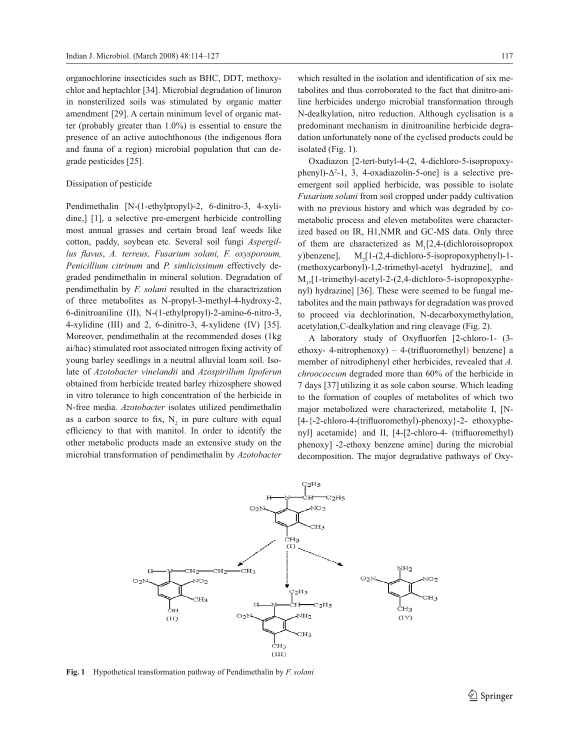organochlorine insecticides such as BHC, DDT, methoxychlor and heptachlor [34]. Microbial degradation of linuron in nonsterilized soils was stimulated by organic matter amendment [29]. A certain minimum level of organic matter (probably greater than 1.0%) is essential to ensure the presence of an active autochthonous (the indigenous flora and fauna of a region) microbial population that can degrade pesticides [25].

#### Dissipation of pesticide

Pendimethalin [N-(1-ethylpropyl)-2, 6-dinitro-3, 4-xylidine,] [1], a selective pre-emergent herbicide controlling most annual grasses and certain broad leaf weeds like cotton, paddy, soybean etc. Several soil fungi *Aspergillus fl avus*, *A. terreus, Fusarium solani, F. oxysporoum, Penicillium citrinum* and *P. simlicissinum* effectively degraded pendimethalin in mineral solution. Degradation of pendimethalin by *F. solani* resulted in the charactrization of three metabolites as N-propyl-3-methyl-4-hydroxy-2, 6-dinitroaniline (II), N-(1-ethylpropyl)-2-amino-6-nitro-3, 4-xylidine (III) and 2, 6-dinitro-3, 4-xylidene (IV) [35]. Moreover, pendimethalin at the recommended doses (1kg ai/hac) stimulated root associated nitrogen fixing activity of young barley seedlings in a neutral alluvial loam soil. Isolate of *Azotobacter vinelandii* and *Azospirillum lipoferun* obtained from herbicide treated barley rhizosphere showed in vitro tolerance to high concentration of the herbicide in N-free media. *Azotobacter* isolates utilized pendimethalin as a carbon source to fix,  $N_2$  in pure culture with equal efficiency to that with manitol. In order to identify the other metabolic products made an extensive study on the microbial transformation of pendimethalin by *Azotobacter*

which resulted in the isolation and identification of six metabolites and thus corroborated to the fact that dinitro-aniline herbicides undergo microbial transformation through N-dealkylation, nitro reduction. Although cyclisation is a predominant mechanism in dinitroaniline herbicide degradation unfortunately none of the cyclised products could be isolated (Fig. 1).

Oxadiazon [2-tert-butyl-4-(2, 4-dichloro-5-isopropoxyphenyl)-Δ2 -1, 3, 4-oxadiazolin-5-one] is a selective preemergent soil applied herbicide, was possible to isolate *Fusarium solani* from soil cropped under paddy cultivation with no previous history and which was degraded by cometabolic process and eleven metabolites were characterized based on IR, H1,NMR and GC-MS data. Only three of them are characterized as  $M_1[2,4-(dichloroisopropox$ y)benzene], M<sub>2</sub>[1-(2,4-dichloro-5-isopropoxyphenyl)-1-(methoxycarbonyl)-1,2-trimethyl-acetyl hydrazine], and M3 ,[1-trimethyl-acetyl-2-(2,4-dichloro-5-isopropoxyphenyl) hydrazine] [36]. These were seemed to be fungal metabolites and the main pathways for degradation was proved to proceed via dechlorination, N-decarboxymethylation, acetylation,C-dealkylation and ring cleavage (Fig. 2).

A laboratory study of Oxyfluorfen [2-chloro-1- (3ethoxy- 4-nitrophenoxy) – 4-(trifluoromethyl) benzene] a member of nitrodiphenyl ether herbicides, revealed that *A. chroococcum* degraded more than 60% of the herbicide in 7 days [37] utilizing it as sole cabon sourse. Which leading to the formation of couples of metabolites of which two major metabolized were characterized, metabolite I, [N- [4-{-2-chloro-4-(trifluoromethyl)-phenoxy}-2- ethoxyphenyl] acetamide} and II, [4-[2-chloro-4- (trifluoromethyl) phenoxy] -2-ethoxy benzene amine] during the microbial decomposition. The major degradative pathways of Oxy-



**Fig. 1** Hypothetical transformation pathway of Pendimethalin by *F. solani*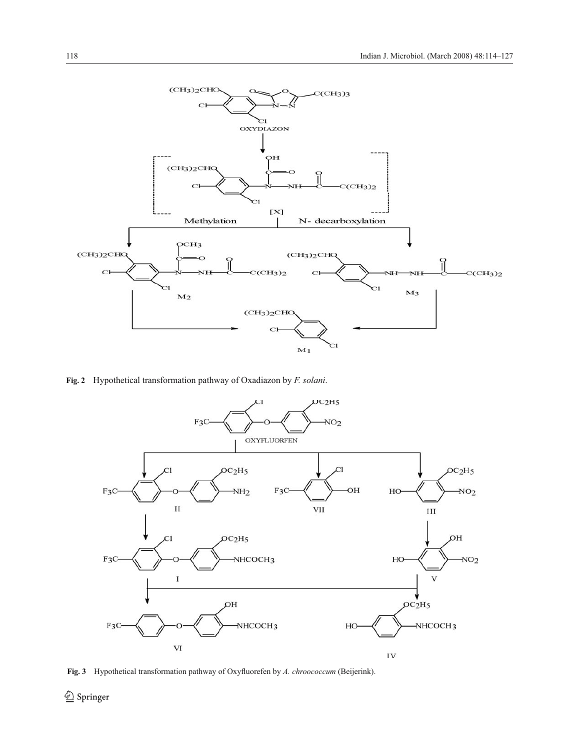

**Fig. 2** Hypothetical transformation pathway of Oxadiazon by *F. solani*.



Fig. 3 Hypothetical transformation pathway of Oxyfluorefen by *A. chroococcum* (Beijerink).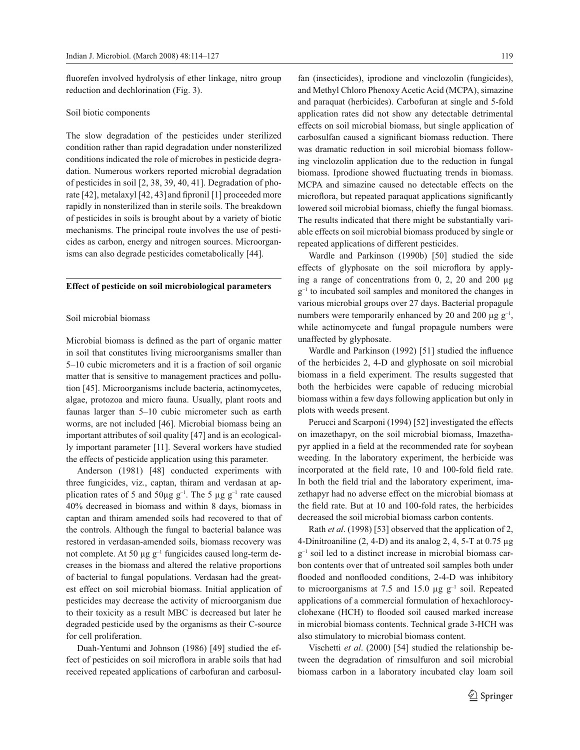fluorefen involved hydrolysis of ether linkage, nitro group reduction and dechlorination (Fig. 3).

#### Soil biotic components

The slow degradation of the pesticides under sterilized condition rather than rapid degradation under nonsterilized conditions indicated the role of microbes in pesticide degradation. Numerous workers reported microbial degradation of pesticides in soil [2, 38, 39, 40, 41]. Degradation of phorate [42], metalaxyl [42, 43] and fipronil [1] proceeded more rapidly in nonsterilized than in sterile soils. The breakdown of pesticides in soils is brought about by a variety of biotic mechanisms. The principal route involves the use of pesticides as carbon, energy and nitrogen sources. Microorganisms can also degrade pesticides cometabolically [44].

## **Effect of pesticide on soil microbiological parameters**

### Soil microbial biomass

Microbial biomass is defined as the part of organic matter in soil that constitutes living microorganisms smaller than 5–10 cubic micrometers and it is a fraction of soil organic matter that is sensitive to management practices and pollution [45]. Microorganisms include bacteria, actinomycetes, algae, protozoa and micro fauna. Usually, plant roots and faunas larger than 5–10 cubic micrometer such as earth worms, are not included [46]. Microbial biomass being an important attributes of soil quality [47] and is an ecologically important parameter [11]. Several workers have studied the effects of pesticide application using this parameter.

Anderson (1981) [48] conducted experiments with three fungicides, viz., captan, thiram and verdasan at application rates of 5 and 50μg  $g^{-1}$ . The 5 μg  $g^{-1}$  rate caused 40% decreased in biomass and within 8 days, biomass in captan and thiram amended soils had recovered to that of the controls. Although the fungal to bacterial balance was restored in verdasan-amended soils, biomass recovery was not complete. At 50 μg  $g^{-1}$  fungicides caused long-term decreases in the biomass and altered the relative proportions of bacterial to fungal populations. Verdasan had the greatest effect on soil microbial biomass. Initial application of pesticides may decrease the activity of microorganism due to their toxicity as a result MBC is decreased but later he degraded pesticide used by the organisms as their C-source for cell proliferation.

Duah-Yentumi and Johnson (1986) [49] studied the effect of pesticides on soil microflora in arable soils that had received repeated applications of carbofuran and carbosulfan (insecticides), iprodione and vinclozolin (fungicides), and Methyl Chloro Phenoxy Acetic Acid (MCPA), simazine and paraquat (herbicides). Carbofuran at single and 5-fold application rates did not show any detectable detrimental effects on soil microbial biomass, but single application of carbosulfan caused a significant biomass reduction. There was dramatic reduction in soil microbial biomass following vinclozolin application due to the reduction in fungal biomass. Iprodione showed fluctuating trends in biomass. MCPA and simazine caused no detectable effects on the microflora, but repeated paraquat applications significantly lowered soil microbial biomass, chiefly the fungal biomass. The results indicated that there might be substantially variable effects on soil microbial biomass produced by single or repeated applications of different pesticides.

Wardle and Parkinson (1990b) [50] studied the side effects of glyphosate on the soil microflora by applying a range of concentrations from 0, 2, 20 and 200 μg g–1 to incubated soil samples and monitored the changes in various microbial groups over 27 days. Bacterial propagule numbers were temporarily enhanced by 20 and 200  $\mu$ g g<sup>-1</sup>, while actinomycete and fungal propagule numbers were unaffected by glyphosate.

Wardle and Parkinson (1992) [51] studied the influence of the herbicides 2, 4-D and glyphosate on soil microbial biomass in a field experiment. The results suggested that both the herbicides were capable of reducing microbial biomass within a few days following application but only in plots with weeds present.

Perucci and Scarponi (1994) [52] investigated the effects on imazethapyr, on the soil microbial biomass, Imazethapyr applied in a field at the recommended rate for soybean weeding. In the laboratory experiment, the herbicide was incorporated at the field rate, 10 and 100-fold field rate. In both the field trial and the laboratory experiment, imazethapyr had no adverse effect on the microbial biomass at the field rate. But at 10 and 100-fold rates, the herbicides decreased the soil microbial biomass carbon contents.

Rath *et al*. (1998) [53] observed that the application of 2, 4-Dinitroaniline  $(2, 4-D)$  and its analog 2, 4, 5-T at 0.75  $\mu$ g g–1 soil led to a distinct increase in microbial biomass carbon contents over that of untreated soil samples both under flooded and nonflooded conditions, 2-4-D was inhibitory to microorganisms at 7.5 and 15.0  $\mu$ g g<sup>-1</sup> soil. Repeated applications of a commercial formulation of hexachlorocyclohexane (HCH) to flooded soil caused marked increase in microbial biomass contents. Technical grade 3-HCH was also stimulatory to microbial biomass content.

Vischetti *et al*. (2000) [54] studied the relationship between the degradation of rimsulfuron and soil microbial biomass carbon in a laboratory incubated clay loam soil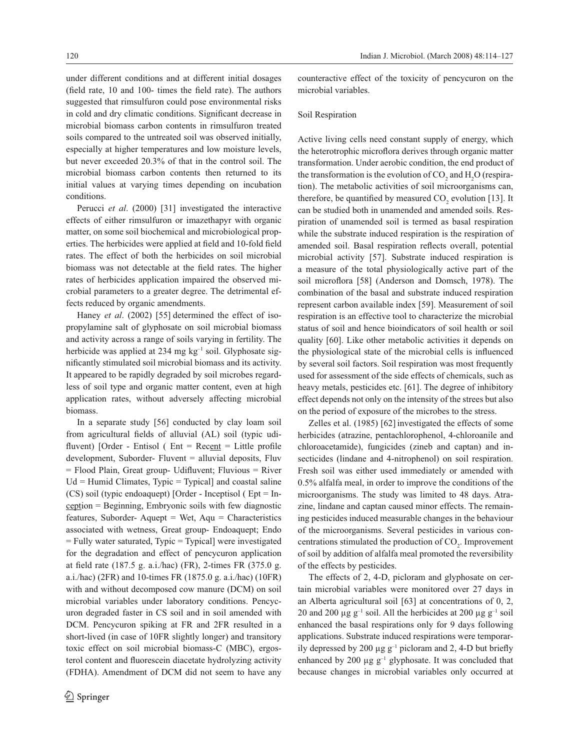under different conditions and at different initial dosages (field rate,  $10$  and  $100$ - times the field rate). The authors suggested that rimsulfuron could pose environmental risks in cold and dry climatic conditions. Significant decrease in microbial biomass carbon contents in rimsulfuron treated soils compared to the untreated soil was observed initially, especially at higher temperatures and low moisture levels, but never exceeded 20.3% of that in the control soil. The microbial biomass carbon contents then returned to its initial values at varying times depending on incubation conditions.

Perucci *et al*. (2000) [31] investigated the interactive effects of either rimsulfuron or imazethapyr with organic matter, on some soil biochemical and microbiological properties. The herbicides were applied at field and 10-fold field rates. The effect of both the herbicides on soil microbial biomass was not detectable at the field rates. The higher rates of herbicides application impaired the observed microbial parameters to a greater degree. The detrimental effects reduced by organic amendments.

Haney *et al*. (2002) [55] determined the effect of isopropylamine salt of glyphosate on soil microbial biomass and activity across a range of soils varying in fertility. The herbicide was applied at  $234 \text{ mg kg}^{-1}$  soil. Glyphosate significantly stimulated soil microbial biomass and its activity. It appeared to be rapidly degraded by soil microbes regardless of soil type and organic matter content, even at high application rates, without adversely affecting microbial biomass.

In a separate study [56] conducted by clay loam soil from agricultural fields of alluvial (AL) soil (typic udifluvent) [Order - Entisol (  $Ent = Recent = Little profile$ development, Suborder- Fluvent = alluvial deposits, Fluv  $=$  Flood Plain, Great group- Udifluvent; Fluvious  $=$  River  $Ud =$  Humid Climates, Typic = Typical and coastal saline (CS) soil (typic endoaquept) [Order - Inceptisol ( Ept = Inception = Beginning, Embryonic soils with few diagnostic features, Suborder- Aquept = Wet, Aqu = Characteristics associated with wetness, Great group- Endoaquept; Endo = Fully water saturated, Typic = Typical] were investigated for the degradation and effect of pencycuron application at field rate (187.5 g. a.i./hac) (FR), 2-times FR (375.0 g. a.i./hac) (2FR) and 10-times FR (1875.0 g. a.i./hac) (10FR) with and without decomposed cow manure (DCM) on soil microbial variables under laboratory conditions. Pencycuron degraded faster in CS soil and in soil amended with DCM. Pencycuron spiking at FR and 2FR resulted in a short-lived (in case of 10FR slightly longer) and transitory toxic effect on soil microbial biomass-C (MBC), ergosterol content and fluorescein diacetate hydrolyzing activity (FDHA). Amendment of DCM did not seem to have any counteractive effect of the toxicity of pencycuron on the microbial variables.

## Soil Respiration

Active living cells need constant supply of energy, which the heterotrophic microflora derives through organic matter transformation. Under aerobic condition, the end product of the transformation is the evolution of  $CO_2$  and  $H_2O$  (respiration). The metabolic activities of soil microorganisms can, therefore, be quantified by measured  $CO_2$  evolution [13]. It can be studied both in unamended and amended soils. Respiration of unamended soil is termed as basal respiration while the substrate induced respiration is the respiration of amended soil. Basal respiration reflects overall, potential microbial activity [57]. Substrate induced respiration is a measure of the total physiologically active part of the soil microflora [58] (Anderson and Domsch, 1978). The combination of the basal and substrate induced respiration represent carbon available index [59]. Measurement of soil respiration is an effective tool to characterize the microbial status of soil and hence bioindicators of soil health or soil quality [60]. Like other metabolic activities it depends on the physiological state of the microbial cells is influenced by several soil factors. Soil respiration was most frequently used for assessment of the side effects of chemicals, such as heavy metals, pesticides etc. [61]. The degree of inhibitory effect depends not only on the intensity of the strees but also on the period of exposure of the microbes to the stress.

Zelles et al. (1985) [62] investigated the effects of some herbicides (atrazine, pentachlorophenol, 4-chloroanile and chloroacetamide), fungicides (zineb and captan) and insecticides (lindane and 4-nitrophenol) on soil respiration. Fresh soil was either used immediately or amended with 0.5% alfalfa meal, in order to improve the conditions of the microorganisms. The study was limited to 48 days. Atrazine, lindane and captan caused minor effects. The remaining pesticides induced measurable changes in the behaviour of the microorganisms. Several pesticides in various concentrations stimulated the production of  $CO<sub>2</sub>$ . Improvement of soil by addition of alfalfa meal promoted the reversibility of the effects by pesticides.

The effects of 2, 4-D, picloram and glyphosate on certain microbial variables were monitored over 27 days in an Alberta agricultural soil [63] at concentrations of 0, 2, 20 and 200 μg  $g^{-1}$  soil. All the herbicides at 200 μg  $g^{-1}$  soil enhanced the basal respirations only for 9 days following applications. Substrate induced respirations were temporarily depressed by 200  $\mu$ g g<sup>-1</sup> picloram and 2, 4-D but briefly enhanced by 200  $\mu$ g g<sup>-1</sup> glyphosate. It was concluded that because changes in microbial variables only occurred at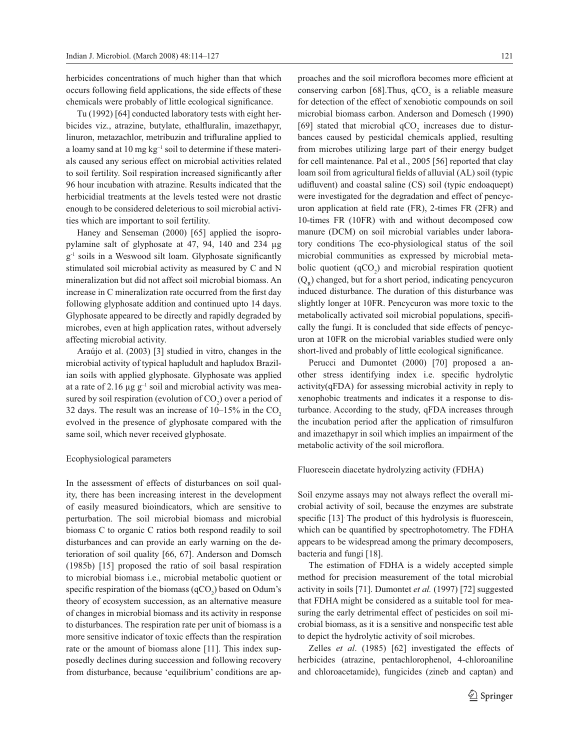herbicides concentrations of much higher than that which occurs following field applications, the side effects of these chemicals were probably of little ecological significance.

Tu (1992) [64] conducted laboratory tests with eight herbicides viz., atrazine, butylate, ethalfluralin, imazethapyr, linuron, metazachlor, metribuzin and trifluraline applied to a loamy sand at  $10 \text{ mg kg}^{-1}$  soil to determine if these materials caused any serious effect on microbial activities related to soil fertility. Soil respiration increased significantly after 96 hour incubation with atrazine. Results indicated that the herbicidial treatments at the levels tested were not drastic enough to be considered deleterious to soil microbial activities which are important to soil fertility.

Haney and Senseman (2000) [65] applied the isopropylamine salt of glyphosate at 47, 94, 140 and 234 μg  $g^{-1}$  soils in a Weswood silt loam. Glyphosate significantly stimulated soil microbial activity as measured by C and N mineralization but did not affect soil microbial biomass. An increase in C mineralization rate occurred from the first day following glyphosate addition and continued upto 14 days. Glyphosate appeared to be directly and rapidly degraded by microbes, even at high application rates, without adversely affecting microbial activity.

Araújo et al. (2003) [3] studied in vitro, changes in the microbial activity of typical hapludult and hapludox Brazilian soils with applied glyphosate. Glyphosate was applied at a rate of 2.16  $\mu$ g g<sup>-1</sup> soil and microbial activity was measured by soil respiration (evolution of  $CO<sub>2</sub>$ ) over a period of 32 days. The result was an increase of  $10-15\%$  in the CO<sub>2</sub> evolved in the presence of glyphosate compared with the same soil, which never received glyphosate.

#### Ecophysiological parameters

In the assessment of effects of disturbances on soil quality, there has been increasing interest in the development of easily measured bioindicators, which are sensitive to perturbation. The soil microbial biomass and microbial biomass C to organic C ratios both respond readily to soil disturbances and can provide an early warning on the deterioration of soil quality [66, 67]. Anderson and Domsch (1985b) [15] proposed the ratio of soil basal respiration to microbial biomass i.e., microbial metabolic quotient or specific respiration of the biomass  $(qCO_2)$  based on Odum's theory of ecosystem succession, as an alternative measure of changes in microbial biomass and its activity in response to disturbances. The respiration rate per unit of biomass is a more sensitive indicator of toxic effects than the respiration rate or the amount of biomass alone [11]. This index supposedly declines during succession and following recovery from disturbance, because 'equilibrium' conditions are approaches and the soil microflora becomes more efficient at conserving carbon [68]. Thus,  $qCO_2$  is a reliable measure for detection of the effect of xenobiotic compounds on soil microbial biomass carbon. Anderson and Domesch (1990) [69] stated that microbial  $qCO<sub>2</sub>$  increases due to disturbances caused by pesticidal chemicals applied, resulting from microbes utilizing large part of their energy budget for cell maintenance. Pal et al., 2005 [56] reported that clay loam soil from agricultural fields of alluvial (AL) soil (typic udifluvent) and coastal saline (CS) soil (typic endoaquept) were investigated for the degradation and effect of pencycuron application at field rate (FR), 2-times FR (2FR) and 10-times FR (10FR) with and without decomposed cow manure (DCM) on soil microbial variables under laboratory conditions The eco-physiological status of the soil microbial communities as expressed by microbial metabolic quotient  $(qCO<sub>2</sub>)$  and microbial respiration quotient  $(Q<sub>n</sub>)$  changed, but for a short period, indicating pencycuron induced disturbance. The duration of this disturbance was slightly longer at 10FR. Pencycuron was more toxic to the metabolically activated soil microbial populations, specifically the fungi. It is concluded that side effects of pencycuron at 10FR on the microbial variables studied were only short-lived and probably of little ecological significance.

Perucci and Dumontet (2000) [70] proposed a another stress identifying index i.e. specific hydrolytic activity(qFDA) for assessing microbial activity in reply to xenophobic treatments and indicates it a response to disturbance. According to the study, qFDA increases through the incubation period after the application of rimsulfuron and imazethapyr in soil which implies an impairment of the metabolic activity of the soil microflora.

## Fluorescein diacetate hydrolyzing activity (FDHA)

Soil enzyme assays may not always reflect the overall microbial activity of soil, because the enzymes are substrate specific [13] The product of this hydrolysis is fluorescein, which can be quantified by spectrophotometry. The FDHA appears to be widespread among the primary decomposers, bacteria and fungi [18].

The estimation of FDHA is a widely accepted simple method for precision measurement of the total microbial activity in soils [71]. Dumontet *et al.* (1997) [72] suggested that FDHA might be considered as a suitable tool for measuring the early detrimental effect of pesticides on soil microbial biomass, as it is a sensitive and nonspecific test able to depict the hydrolytic activity of soil microbes.

Zelles *et al*. (1985) [62] investigated the effects of herbicides (atrazine, pentachlorophenol, 4-chloroaniline and chloroacetamide), fungicides (zineb and captan) and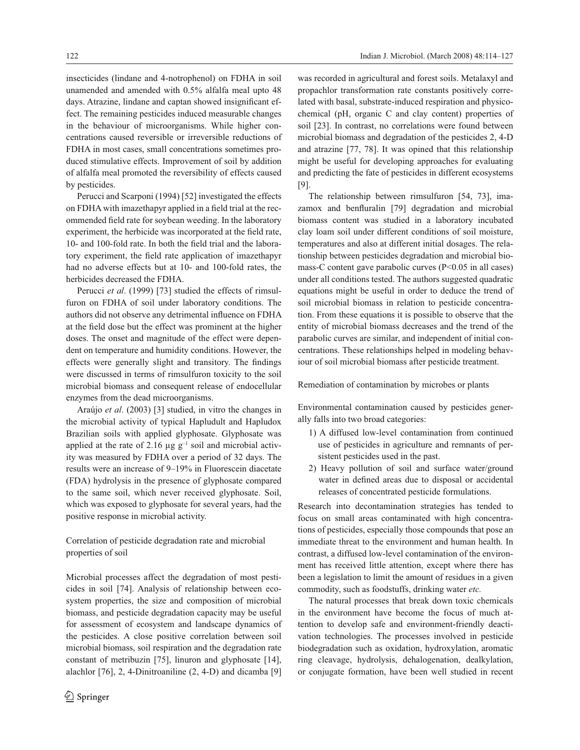insecticides (lindane and 4-notrophenol) on FDHA in soil unamended and amended with 0.5% alfalfa meal upto 48 days. Atrazine, lindane and captan showed insignificant effect. The remaining pesticides induced measurable changes in the behaviour of microorganisms. While higher concentrations caused reversible or irreversible reductions of FDHA in most cases, small concentrations sometimes produced stimulative effects. Improvement of soil by addition of alfalfa meal promoted the reversibility of effects caused by pesticides.

Perucci and Scarponi (1994) [52] investigated the effects on FDHA with imazethapyr applied in a field trial at the recommended field rate for soybean weeding. In the laboratory experiment, the herbicide was incorporated at the field rate, 10- and 100-fold rate. In both the field trial and the laboratory experiment, the field rate application of imazethapyr had no adverse effects but at 10- and 100-fold rates, the herbicides decreased the FDHA.

Perucci et al. (1999)<sup>[73]</sup> studied the effects of rimsulfuron on FDHA of soil under laboratory conditions. The authors did not observe any detrimental influence on FDHA at the field dose but the effect was prominent at the higher doses. The onset and magnitude of the effect were dependent on temperature and humidity conditions. However, the effects were generally slight and transitory. The findings were discussed in terms of rimsulfuron toxicity to the soil microbial biomass and consequent release of endocellular enzymes from the dead microorganisms.

Araújo *et al*. (2003) [3] studied, in vitro the changes in the microbial activity of typical Hapludult and Hapludox Brazilian soils with applied glyphosate. Glyphosate was applied at the rate of 2.16  $\mu$ g g<sup>-1</sup> soil and microbial activity was measured by FDHA over a period of 32 days. The results were an increase of 9–19% in Fluorescein diacetate (FDA) hydrolysis in the presence of glyphosate compared to the same soil, which never received glyphosate. Soil, which was exposed to glyphosate for several years, had the positive response in microbial activity.

# Correlation of pesticide degradation rate and microbial properties of soil

Microbial processes affect the degradation of most pesticides in soil [74]. Analysis of relationship between ecosystem properties, the size and composition of microbial biomass, and pesticide degradation capacity may be useful for assessment of ecosystem and landscape dynamics of the pesticides. A close positive correlation between soil microbial biomass, soil respiration and the degradation rate constant of metribuzin [75], linuron and glyphosate [14], alachlor [76], 2, 4-Dinitroaniline (2, 4-D) and dicamba [9]

was recorded in agricultural and forest soils. Metalaxyl and propachlor transformation rate constants positively correlated with basal, substrate-induced respiration and physicochemical (pH, organic C and clay content) properties of soil [23]. In contrast, no correlations were found between microbial biomass and degradation of the pesticides 2, 4-D and atrazine [77, 78]. It was opined that this relationship might be useful for developing approaches for evaluating and predicting the fate of pesticides in different ecosystems [9].

The relationship between rimsulfuron [54, 73], imazamox and benfluralin [79] degradation and microbial biomass content was studied in a laboratory incubated clay loam soil under different conditions of soil moisture, temperatures and also at different initial dosages. The relationship between pesticides degradation and microbial biomass-C content gave parabolic curves (P<0.05 in all cases) under all conditions tested. The authors suggested quadratic equations might be useful in order to deduce the trend of soil microbial biomass in relation to pesticide concentration. From these equations it is possible to observe that the entity of microbial biomass decreases and the trend of the parabolic curves are similar, and independent of initial concentrations. These relationships helped in modeling behaviour of soil microbial biomass after pesticide treatment.

Remediation of contamination by microbes or plants

Environmental contamination caused by pesticides generally falls into two broad categories:

- 1) A diffused low-level contamination from continued use of pesticides in agriculture and remnants of persistent pesticides used in the past.
- 2) Heavy pollution of soil and surface water/ground water in defined areas due to disposal or accidental releases of concentrated pesticide formulations.

Research into decontamination strategies has tended to focus on small areas contaminated with high concentrations of pesticides, especially those compounds that pose an immediate threat to the environment and human health. In contrast, a diffused low-level contamination of the environment has received little attention, except where there has been a legislation to limit the amount of residues in a given commodity, such as foodstuffs, drinking water *etc.* 

The natural processes that break down toxic chemicals in the environment have become the focus of much attention to develop safe and environment-friendly deactivation technologies. The processes involved in pesticide biodegradation such as oxidation, hydroxylation, aromatic ring cleavage, hydrolysis, dehalogenation, dealkylation, or conjugate formation, have been well studied in recent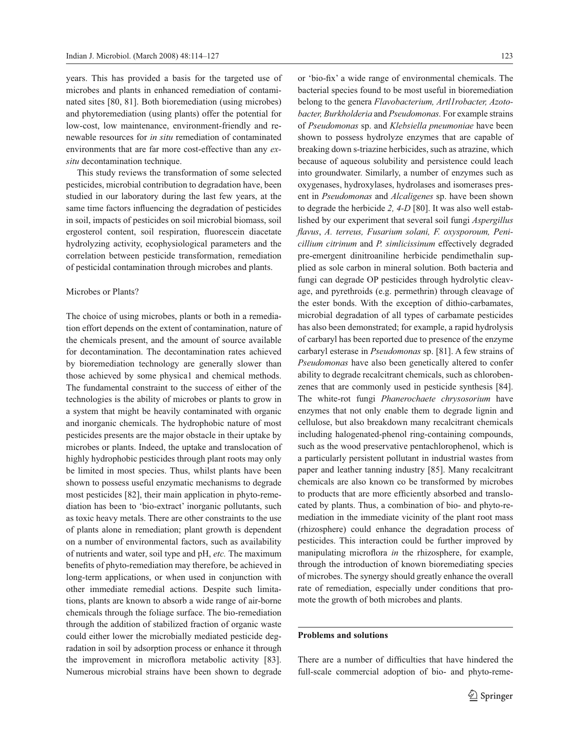years. This has provided a basis for the targeted use of microbes and plants in enhanced remediation of contaminated sites [80, 81]. Both bioremediation (using microbes) and phytoremediation (using plants) offer the potential for low-cost, low maintenance, environment-friendly and renewable resources for *in situ* remediation of contaminated environments that are far more cost-effective than any *exsitu* decontamination technique.

This study reviews the transformation of some selected pesticides, microbial contribution to degradation have, been studied in our laboratory during the last few years, at the same time factors influencing the degradation of pesticides in soil, impacts of pesticides on soil microbial biomass, soil ergosterol content, soil respiration, fluorescein diacetate hydrolyzing activity, ecophysiological parameters and the correlation between pesticide transformation, remediation of pesticidal contamination through microbes and plants.

## Microbes or Plants?

The choice of using microbes, plants or both in a remediation effort depends on the extent of contamination, nature of the chemicals present, and the amount of source available for decontamination. The decontamination rates achieved by bioremediation technology are generally slower than those achieved by some physica1 and chemical methods. The fundamental constraint to the success of either of the technologies is the ability of microbes or plants to grow in a system that might be heavily contaminated with organic and inorganic chemicals. The hydrophobic nature of most pesticides presents are the major obstacle in their uptake by microbes or plants. Indeed, the uptake and translocation of highly hydrophobic pesticides through plant roots may only be limited in most species. Thus, whilst plants have been shown to possess useful enzymatic mechanisms to degrade most pesticides [82], their main application in phyto-remediation has been to 'bio-extract' inorganic pollutants, such as toxic heavy metals. There are other constraints to the use of plants alone in remediation; plant growth is dependent on a number of environmental factors, such as availability of nutrients and water, soil type and pH, *etc.* The maximum benefits of phyto-remediation may therefore, be achieved in long-term applications, or when used in conjunction with other immediate remedial actions. Despite such limitations, plants are known to absorb a wide range of air-borne chemicals through the foliage surface. The bio-remediation through the addition of stabilized fraction of organic waste could either lower the microbially mediated pesticide degradation in soil by adsorption process or enhance it through the improvement in microflora metabolic activity [83]. Numerous microbial strains have been shown to degrade

or 'bio-fix' a wide range of environmental chemicals. The bacterial species found to be most useful in bioremediation belong to the genera *Flavobacterium, Artl1robacter, Azotobacter, Burkholderia* and *Pseudomonas.* For example strains of *Pseudomonas* sp. and *Klebsiella pneumoniae* have been shown to possess hydrolyze enzymes that are capable of breaking down s-triazine herbicides, such as atrazine, which because of aqueous solubility and persistence could leach into groundwater. Similarly, a number of enzymes such as oxygenases, hydroxylases, hydrolases and isomerases present in *Pseudomonas* and *Alcaligenes* sp. have been shown to degrade the herbicide *2, 4-D* [80]. It was also well established by our experiment that several soil fungi *Aspergillus fl avus*, *A. terreus, Fusarium solani, F. oxysporoum, Penicillium citrinum* and *P. simlicissinum* effectively degraded pre-emergent dinitroaniline herbicide pendimethalin supplied as sole carbon in mineral solution. Both bacteria and fungi can degrade OP pesticides through hydrolytic cleavage, and pyrethroids (e.g. permethrin) through cleavage of the ester bonds. With the exception of dithio-carbamates, microbial degradation of all types of carbamate pesticides has also been demonstrated; for example, a rapid hydrolysis of carbaryl has been reported due to presence of the enzyme carbaryl esterase in *Pseudomonas* sp. [81]. A few strains of *Pseudomonas* have also been genetically altered to confer ability to degrade recalcitrant chemicals, such as chlorobenzenes that are commonly used in pesticide synthesis [84]. The white-rot fungi *Phanerochaete chrysosorium* have enzymes that not only enable them to degrade lignin and cellulose, but also breakdown many recalcitrant chemicals including halogenated-phenol ring-containing compounds, such as the wood preservative pentachlorophenol, which is a particularly persistent pollutant in industrial wastes from paper and leather tanning industry [85]. Many recalcitrant chemicals are also known co be transformed by microbes to products that are more efficiently absorbed and translocated by plants. Thus, a combination of bio- and phyto-remediation in the immediate vicinity of the plant root mass (rhizosphere) could enhance the degradation process of pesticides. This interaction could be further improved by manipulating microflora *in* the rhizosphere, for example, through the introduction of known bioremediating species of microbes. The synergy should greatly enhance the overall rate of remediation, especially under conditions that promote the growth of both microbes and plants.

## **Problems and solutions**

There are a number of difficulties that have hindered the full-scale commercial adoption of bio- and phyto-reme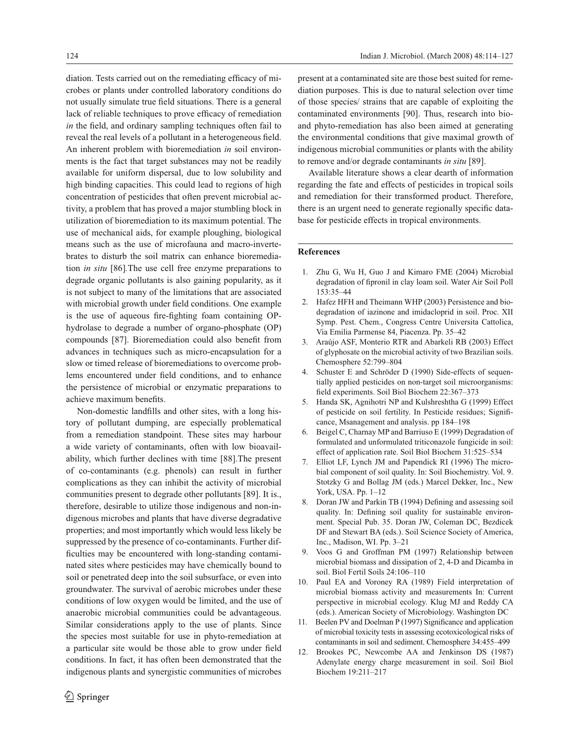diation. Tests carried out on the remediating efficacy of microbes or plants under controlled laboratory conditions do not usually simulate true field situations. There is a general lack of reliable techniques to prove efficacy of remediation *in* the field, and ordinary sampling techniques often fail to reveal the real levels of a pollutant in a heterogeneous field. An inherent problem with bioremediation *in* soil environments is the fact that target substances may not be readily available for uniform dispersal, due to low solubility and high binding capacities. This could lead to regions of high concentration of pesticides that often prevent microbial activity, a problem that has proved a major stumbling block in utilization of bioremediation to its maximum potential. The use of mechanical aids, for example ploughing, biological means such as the use of microfauna and macro-invertebrates to disturb the soil matrix can enhance bioremediation *in situ* [86]*.*The use cell free enzyme preparations to degrade organic pollutants is also gaining popularity, as it is not subject to many of the limitations that are associated with microbial growth under field conditions. One example is the use of aqueous fire-fighting foam containing OPhydrolase to degrade a number of organo-phosphate (OP) compounds [87]. Bioremediation could also benefit from advances in techniques such as micro-encapsulation for a slow or timed release of bioremediations to overcome problems encountered under field conditions, and to enhance the persistence of microbial or enzymatic preparations to achieve maximum benefits.

Non-domestic landfills and other sites, with a long history of pollutant dumping, are especially problematical from a remediation standpoint. These sites may harbour a wide variety of contaminants, often with low bioavailability, which further declines with time [88].The present of co-contaminants (e.g. phenols) can result in further complications as they can inhibit the activity of microbial communities present to degrade other pollutants [89]. It is., therefore, desirable to utilize those indigenous and non-indigenous microbes and plants that have diverse degradative properties; and most importantly which would less likely be suppressed by the presence of co-contaminants. Further difficulties may be encountered with long-standing contaminated sites where pesticides may have chemically bound to soil or penetrated deep into the soil subsurface, or even into groundwater. The survival of aerobic microbes under these conditions of low oxygen would be limited, and the use of anaerobic microbial communities could be advantageous. Similar considerations apply to the use of plants. Since the species most suitable for use in phyto-remediation at a particular site would be those able to grow under field conditions. In fact, it has often been demonstrated that the indigenous plants and synergistic communities of microbes

present at a contaminated site are those best suited for remediation purposes. This is due to natural selection over time of those species/ strains that are capable of exploiting the contaminated environments [90]. Thus, research into bioand phyto-remediation has also been aimed at generating the environmental conditions that give maximal growth of indigenous microbial communities or plants with the ability to remove and/or degrade contaminants *in situ* [89].

Available literature shows a clear dearth of information regarding the fate and effects of pesticides in tropical soils and remediation for their transformed product. Therefore, there is an urgent need to generate regionally specific database for pesticide effects in tropical environments.

#### **References**

- 1. Zhu G, Wu H, Guo J and Kimaro FME (2004) Microbial degradation of fipronil in clay loam soil. Water Air Soil Poll 153:35–44
- 2. Hafez HFH and Theimann WHP (2003) Persistence and biodegradation of iazinone and imidacloprid in soil. Proc. XII Symp. Pest. Chem., Congress Centre Universita Cattolica, Via Emilia Parmense 84, Piacenza. Pp. 35–42
- 3. Araújo ASF, Monterio RTR and Abarkeli RB (2003) Effect of glyphosate on the microbial activity of two Brazilian soils. Chemosphere 52:799–804
- 4. Schuster E and Schröder D (1990) Side-effects of sequentially applied pesticides on non-target soil microorganisms: field experiments. Soil Biol Biochem 22:367-373
- 5. Handa SK, Agnihotri NP and Kulshreshtha G (1999) Effect of pesticide on soil fertility. In Pesticide residues; Significance, Msanagement and analysis. pp 184–198
- Beigel C, Charnay MP and Barriuso E (1999) Degradation of formulated and unformulated triticonazole fungicide in soil: effect of application rate. Soil Biol Biochem 31:525–534
- 7. Elliot LF, Lynch JM and Papendick RI (1996) The microbial component of soil quality. In: Soil Biochemistry. Vol. 9. Stotzky G and Bollag JM (eds.) Marcel Dekker, Inc., New York, USA. Pp. 1–12
- 8. Doran JW and Parkin TB (1994) Defining and assessing soil quality. In: Defining soil quality for sustainable environment. Special Pub. 35. Doran JW, Coleman DC, Bezdicek DF and Stewart BA (eds.). Soil Science Society of America, Inc., Madison, WI. Pp. 3–21
- 9. Voos G and Groffman PM (1997) Relationship between microbial biomass and dissipation of 2, 4-D and Dicamba in soil. Biol Fertil Soils 24:106–110
- 10. Paul EA and Voroney RA (1989) Field interpretation of microbial biomass activity and measurements In: Current perspective in microbial ecology. Klug MJ and Reddy CA (eds.). American Society of Microbiology. Washington DC
- 11. Beelen PV and Doelman P (1997) Significance and application of microbial toxicity tests in assessing ecotoxicological risks of contaminants in soil and sediment. Chemosphere 34:455–499
- 12. Brookes PC, Newcombe AA and Jenkinson DS (1987) Adenylate energy charge measurement in soil. Soil Biol Biochem 19:211–217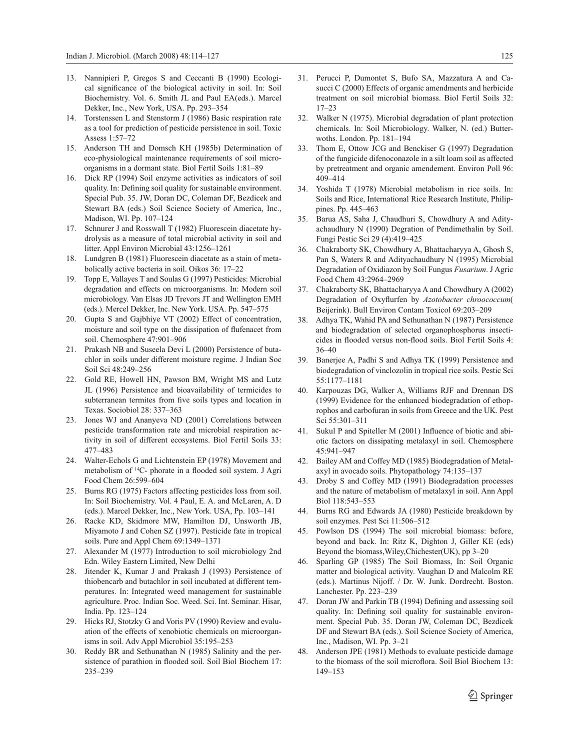- 13. Nannipieri P, Gregos S and Ceccanti B (1990) Ecological significance of the biological activity in soil. In: Soil Biochemistry. Vol. 6. Smith JL and Paul EA(eds.). Marcel Dekker, Inc., New York, USA. Pp. 293–354
- 14. Torstenssen L and Stenstorm J (1986) Basic respiration rate as a tool for prediction of pesticide persistence in soil. Toxic Assess 1:57–72
- 15. Anderson TH and Domsch KH (1985b) Determination of eco-physiological maintenance requirements of soil microorganisms in a dormant state. Biol Fertil Soils 1:81–89
- 16. Dick RP (1994) Soil enzyme activities as indicators of soil quality. In: Defining soil quality for sustainable environment. Special Pub. 35. JW, Doran DC, Coleman DF, Bezdicek and Stewart BA (eds.) Soil Science Society of America, Inc., Madison, WI. Pp. 107–124
- 17. Schnurer J and Rosswall T (1982) Fluorescein diacetate hydrolysis as a measure of total microbial activity in soil and litter. Appl Environ Microbial 43:1256–1261
- 18. Lundgren B (1981) Fluorescein diacetate as a stain of metabolically active bacteria in soil. Oikos 36: 17–22
- 19. Topp E, Vallayes T and Soulas G (1997) Pesticides: Microbial degradation and effects on microorganisms. In: Modern soil microbiology. Van Elsas JD Trevors JT and Wellington EMH (eds.). Mercel Dekker, Inc. New York. USA. Pp. 547–575
- 20. Gupta S and Gajbhiye VT (2002) Effect of concentration, moisture and soil type on the dissipation of flufenacet from soil. Chemosphere 47:901–906
- 21. Prakash NB and Suseela Devi L (2000) Persistence of butachlor in soils under different moisture regime. J Indian Soc Soil Sci 48:249–256
- 22. Gold RE, Howell HN, Pawson BM, Wright MS and Lutz JL (1996) Persistence and bioavailability of termicides to subterranean termites from five soils types and location in Texas. Sociobiol 28: 337–363
- 23. Jones WJ and Ananyeva ND (2001) Correlations between pesticide transformation rate and microbial respiration activity in soil of different ecosystems. Biol Fertil Soils 33: 477–483
- 24. Walter-Echols G and Lichtenstein EP (1978) Movement and metabolism of <sup>14</sup>C- phorate in a flooded soil system. J Agri Food Chem 26:599–604
- 25. Burns RG (1975) Factors affecting pesticides loss from soil. In: Soil Biochemistry. Vol. 4 Paul, E. A. and McLaren, A. D (eds.). Marcel Dekker, Inc., New York. USA, Pp. 103–141
- 26. Racke KD, Skidmore MW, Hamilton DJ, Unsworth JB, Miyamoto J and Cohen SZ (1997). Pesticide fate in tropical soils. Pure and Appl Chem 69:1349–1371
- 27. Alexander M (1977) Introduction to soil microbiology 2nd Edn. Wiley Eastern Limited, New Delhi
- 28. Jitender K, Kumar J and Prakash J (1993) Persistence of thiobencarb and butachlor in soil incubated at different temperatures. In: Integrated weed management for sustainable agriculture. Proc. Indian Soc. Weed. Sci. Int. Seminar. Hisar, India. Pp. 123–124
- 29. Hicks RJ, Stotzky G and Voris PV (1990) Review and evaluation of the effects of xenobiotic chemicals on microorganisms in soil. Adv Appl Microbiol 35:195–253
- 30. Reddy BR and Sethunathan N (1985) Salinity and the persistence of parathion in flooded soil. Soil Biol Biochem 17: 235–239
- 31. Perucci P, Dumontet S, Bufo SA, Mazzatura A and Casucci C (2000) Effects of organic amendments and herbicide treatment on soil microbial biomass. Biol Fertil Soils 32: 17–23
- 32. Walker N (1975). Microbial degradation of plant protection chemicals. In: Soil Microbiology. Walker, N. (ed.) Butterwoths. London. Pp. 181–194
- 33. Thom E, Ottow JCG and Benckiser G (1997) Degradation of the fungicide difenoconazole in a silt loam soil as affected by pretreatment and organic amendement. Environ Poll 96: 409–414
- 34. Yoshida T (1978) Microbial metabolism in rice soils. In: Soils and Rice, International Rice Research Institute, Philippines. Pp. 445–463
- 35. Barua AS, Saha J, Chaudhuri S, Chowdhury A and Adityachaudhury N (1990) Degration of Pendimethalin by Soil. Fungi Pestic Sci 29 (4):419–425
- 36. Chakraborty SK, Chowdhury A, Bhattacharyya A, Ghosh S, Pan S, Waters R and Adityachaudhury N (1995) Microbial Degradation of Oxidiazon by Soil Fungus *Fusarium*. J Agric Food Chem 43:2964–2969
- 37. Chakraborty SK, Bhattacharyya A and Chowdhury A (2002) Degradation of Oxyflurfen by **Azotobacter** chroococcum( Beijerink). Bull Environ Contam Toxicol 69:203–209
- 38. Adhya TK, Wahid PA and Sethunathan N (1987) Persistence and biodegradation of selected organophosphorus insecticides in flooded versus non-flood soils. Biol Fertil Soils 4: 36–40
- 39. Banerjee A, Padhi S and Adhya TK (1999) Persistence and biodegradation of vinclozolin in tropical rice soils. Pestic Sci 55:1177–1181
- 40. Karpouzas DG, Walker A, Williams RJF and Drennan DS (1999) Evidence for the enhanced biodegradation of ethoprophos and carbofuran in soils from Greece and the UK. Pest Sci 55:301–311
- 41. Sukul P and Spiteller M (2001) Influence of biotic and abiotic factors on dissipating metalaxyl in soil. Chemosphere 45:941–947
- 42. Bailey AM and Coffey MD (1985) Biodegradation of Metalaxyl in avocado soils. Phytopathology 74:135–137
- 43. Droby S and Coffey MD (1991) Biodegradation processes and the nature of metabolism of metalaxyl in soil. Ann Appl Biol 118:543–553
- 44. Burns RG and Edwards JA (1980) Pesticide breakdown by soil enzymes. Pest Sci 11:506–512
- 45. Powlson DS (1994) The soil microbial biomass: before, beyond and back. In: Ritz K, Dighton J, Giller KE (eds) Beyond the biomass,Wiley,Chichester(UK), pp 3–20
- 46. Sparling GP (1985) The Soil Biomass, In: Soil Organic matter and biological activity. Vaughan D and Malcolm RE (eds.). Martinus Nijoff. / Dr. W. Junk. Dordrecht. Boston. Lanchester. Pp. 223–239
- 47. Doran JW and Parkin TB (1994) Defining and assessing soil quality. In: Defining soil quality for sustainable environment. Special Pub. 35. Doran JW, Coleman DC, Bezdicek DF and Stewart BA (eds.). Soil Science Society of America, Inc., Madison, WI. Pp. 3–21
- 48. Anderson JPE (1981) Methods to evaluate pesticide damage to the biomass of the soil microflora. Soil Biol Biochem 13: 149–153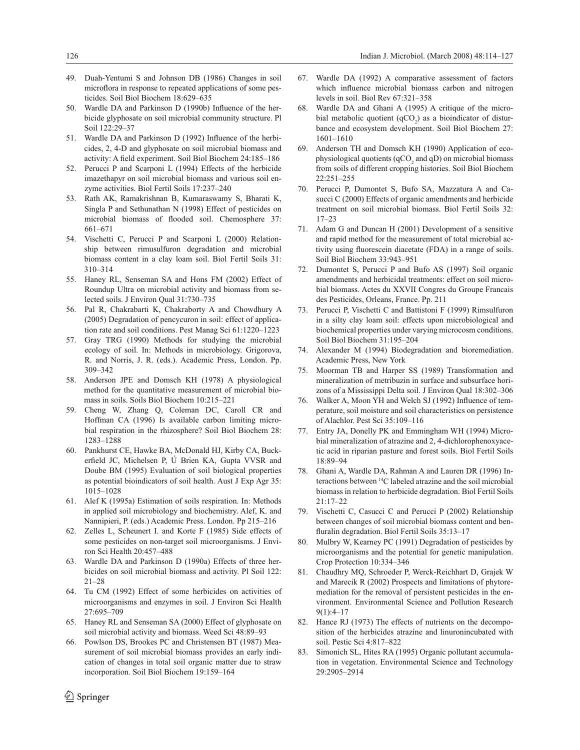- 49. Duah-Yentumi S and Johnson DB (1986) Changes in soil microflora in response to repeated applications of some pesticides. Soil Biol Biochem 18:629–635
- 50. Wardle DA and Parkinson D (1990b) Influence of the herbicide glyphosate on soil microbial community structure. Pl Soil 122:29–37
- 51. Wardle DA and Parkinson D (1992) Influence of the herbicides, 2, 4-D and glyphosate on soil microbial biomass and activity: A field experiment. Soil Biol Biochem 24:185-186
- 52. Perucci P and Scarponi L (1994) Effects of the herbicide imazethapyr on soil microbial biomass and various soil enzyme activities. Biol Fertil Soils 17:237–240
- 53. Rath AK, Ramakrishnan B, Kumaraswamy S, Bharati K, Singla P and Sethunathan N (1998) Effect of pesticides on microbial biomass of flooded soil. Chemosphere 37: 661–671
- 54. Vischetti C, Perucci P and Scarponi L (2000) Relationship between rimusulfuron degradation and microbial biomass content in a clay loam soil. Biol Fertil Soils 31: 310–314
- 55. Haney RL, Senseman SA and Hons FM (2002) Effect of Roundup Ultra on microbial activity and biomass from selected soils. J Environ Qual 31:730–735
- 56. Pal R, Chakrabarti K, Chakraborty A and Chowdhury A (2005) Degradation of pencycuron in soil: effect of application rate and soil conditions. Pest Manag Sci 61:1220–1223
- 57. Gray TRG (1990) Methods for studying the microbial ecology of soil. In: Methods in microbiology. Grigorova, R. and Norris, J. R. (eds.). Academic Press, London. Pp. 309–342
- 58. Anderson JPE and Domsch KH (1978) A physiological method for the quantitative measurement of microbial biomass in soils. Soils Biol Biochem 10:215–221
- 59. Cheng W, Zhang Q, Coleman DC, Caroll CR and Hoffman CA (1996) Is available carbon limiting microbial respiration in the rhizosphere? Soil Biol Biochem 28: 1283–1288
- 60. Pankhurst CE, Hawke BA, McDonald HJ, Kirby CA, Buckerfield JC, Michelsen P, U Brien KA, Gupta VVSR and Doube BM (1995) Evaluation of soil biological properties as potential bioindicators of soil health. Aust J Exp Agr 35: 1015–1028
- 61. Alef K (1995a) Estimation of soils respiration. In: Methods in applied soil microbiology and biochemistry. Alef, K. and Nannipieri, P. (eds.) Academic Press. London. Pp 215–216
- 62. Zelles L, Scheunert I. and Korte F (1985) Side effects of some pesticides on non-target soil microorganisms. J Environ Sci Health 20:457–488
- 63. Wardle DA and Parkinson D (1990a) Effects of three herbicides on soil microbial biomass and activity. Pl Soil 122: 21–28
- 64. Tu CM (1992) Effect of some herbicides on activities of microorganisms and enzymes in soil. J Environ Sci Health 27:695–709
- 65. Haney RL and Senseman SA (2000) Effect of glyphosate on soil microbial activity and biomass. Weed Sci 48:89–93
- 66. Powlson DS, Brookes PC and Christensen BT (1987) Measurement of soil microbial biomass provides an early indication of changes in total soil organic matter due to straw incorporation. Soil Biol Biochem 19:159–164
- 67. Wardle DA (1992) A comparative assessment of factors which influence microbial biomass carbon and nitrogen levels in soil. Biol Rev 67:321–358
- 68. Wardle DA and Ghani A (1995) A critique of the microbial metabolic quotient  $(qCO<sub>2</sub>)$  as a bioindicator of disturbance and ecosystem development. Soil Biol Biochem 27: 1601–1610
- 69. Anderson TH and Domsch KH (1990) Application of ecophysiological quotients ( $qCO_2$  and  $qD$ ) on microbial biomass from soils of different cropping histories. Soil Biol Biochem  $22.251 - 255$
- 70. Perucci P, Dumontet S, Bufo SA, Mazzatura A and Casucci C (2000) Effects of organic amendments and herbicide treatment on soil microbial biomass. Biol Fertil Soils 32: 17–23
- 71. Adam G and Duncan H (2001) Development of a sensitive and rapid method for the measurement of total microbial activity using fluorescein diacetate (FDA) in a range of soils. Soil Biol Biochem 33:943–951
- 72. Dumontet S, Perucci P and Bufo AS (1997) Soil organic amendments and herbicidal treatments: effect on soil microbial biomass. Actes du XXVII Congres du Groupe Francais des Pesticides, Orleans, France. Pp. 211
- 73. Perucci P, Vischetti C and Battistoni F (1999) Rimsulfuron in a silty clay loam soil: effects upon microbiological and biochemical properties under varying microcosm conditions. Soil Biol Biochem 31:195–204
- 74. Alexander M (1994) Biodegradation and bioremediation. Academic Press, New York
- 75. Moorman TB and Harper SS (1989) Transformation and mineralization of metribuzin in surface and subsurface horizons of a Mississippi Delta soil. J Environ Qual 18:302–306
- 76. Walker A, Moon YH and Welch SJ (1992) Influence of temperature, soil moisture and soil characteristics on persistence of Alachlor. Pest Sci 35:109–116
- 77. Entry JA, Donelly PK and Emmingham WH (1994) Microbial mineralization of atrazine and 2, 4-dichlorophenoxyacetic acid in riparian pasture and forest soils. Biol Fertil Soils 18:89–94
- 78. Ghani A, Wardle DA, Rahman A and Lauren DR (1996) Interactions between 14C labeled atrazine and the soil microbial biomass in relation to herbicide degradation. Biol Fertil Soils 21:17–22
- 79. Vischetti C, Casucci C and Perucci P (2002) Relationship between changes of soil microbial biomass content and benfluralin degradation. Biol Fertil Soils 35:13-17
- 80. Mulbry W, Kearney PC (1991) Degradation of pesticides by microorganisms and the potential for genetic manipulation. Crop Protection 10:334–346
- 81. Chaudhry MQ, Schroeder P, Werck-Reichhart D, Grajek W and Marecik R (2002) Prospects and limitations of phytoremediation for the removal of persistent pesticides in the environment. Environmental Science and Pollution Research 9(1):4–17
- 82. Hance RJ (1973) The effects of nutrients on the decomposition of the herbicides atrazine and linuronincubated with soil. Pestic Sci 4:817–822
- 83. Simonich SL, Hites RA (1995) Organic pollutant accumulation in vegetation. Environmental Science and Technology 29:2905–2914